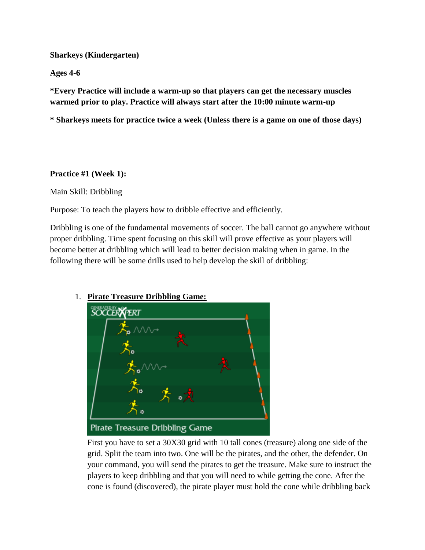### **Sharkeys (Kindergarten)**

**Ages 4-6**

**\*Every Practice will include a warm-up so that players can get the necessary muscles warmed prior to play. Practice will always start after the 10:00 minute warm-up**

**\* Sharkeys meets for practice twice a week (Unless there is a game on one of those days)**

#### **Practice #1 (Week 1):**

Main Skill: Dribbling

Purpose: To teach the players how to dribble effective and efficiently.

Dribbling is one of the fundamental movements of soccer. The ball cannot go anywhere without proper dribbling. Time spent focusing on this skill will prove effective as your players will become better at dribbling which will lead to better decision making when in game. In the following there will be some drills used to help develop the skill of dribbling:



### 1. **Pirate Treasure Dribbling Game:**

First you have to set a 30X30 grid with 10 tall cones (treasure) along one side of the grid. Split the team into two. One will be the pirates, and the other, the defender. On your command, you will send the pirates to get the treasure. Make sure to instruct the players to keep dribbling and that you will need to while getting the cone. After the cone is found (discovered), the pirate player must hold the cone while dribbling back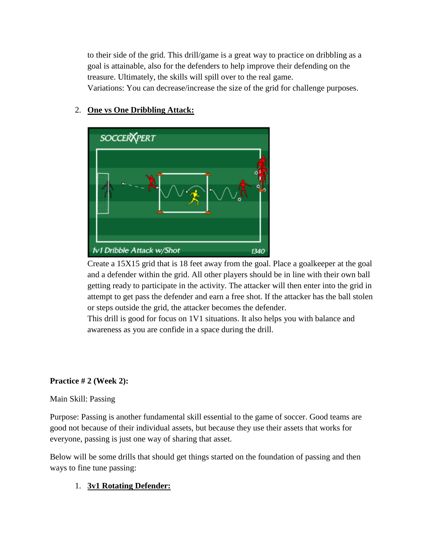to their side of the grid. This drill/game is a great way to practice on dribbling as a goal is attainable, also for the defenders to help improve their defending on the treasure. Ultimately, the skills will spill over to the real game. Variations: You can decrease/increase the size of the grid for challenge purposes.

**SOCCER FERT 1v1 Dribble Attack w/Shot** 1340

### 2. **One vs One Dribbling Attack:**

Create a 15X15 grid that is 18 feet away from the goal. Place a goalkeeper at the goal and a defender within the grid. All other players should be in line with their own ball getting ready to participate in the activity. The attacker will then enter into the grid in attempt to get pass the defender and earn a free shot. If the attacker has the ball stolen or steps outside the grid, the attacker becomes the defender.

This drill is good for focus on 1V1 situations. It also helps you with balance and awareness as you are confide in a space during the drill.

# **Practice # 2 (Week 2):**

### Main Skill: Passing

Purpose: Passing is another fundamental skill essential to the game of soccer. Good teams are good not because of their individual assets, but because they use their assets that works for everyone, passing is just one way of sharing that asset.

Below will be some drills that should get things started on the foundation of passing and then ways to fine tune passing:

# 1. **3v1 Rotating Defender:**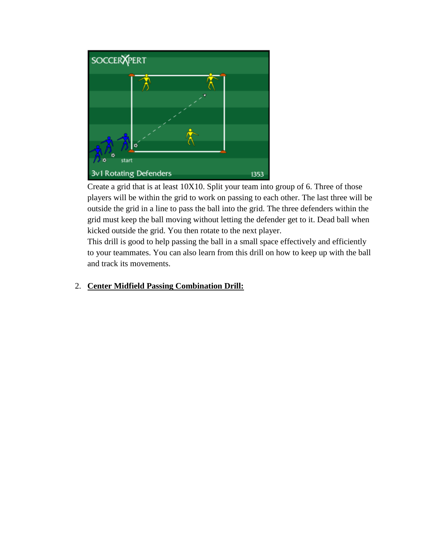

Create a grid that is at least 10X10. Split your team into group of 6. Three of those players will be within the grid to work on passing to each other. The last three will be outside the grid in a line to pass the ball into the grid. The three defenders within the grid must keep the ball moving without letting the defender get to it. Dead ball when kicked outside the grid. You then rotate to the next player.

This drill is good to help passing the ball in a small space effectively and efficiently to your teammates. You can also learn from this drill on how to keep up with the ball and track its movements.

# 2. **Center Midfield Passing Combination Drill:**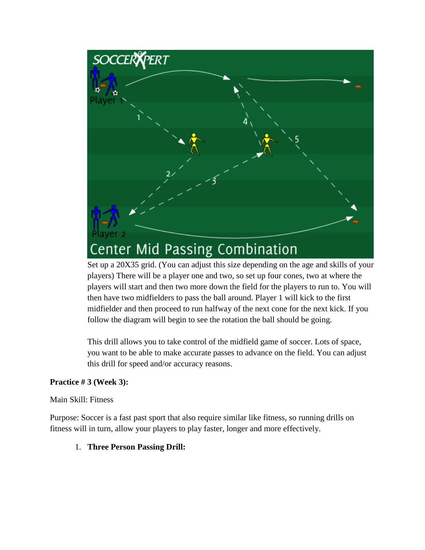

Set up a 20X35 grid. (You can adjust this size depending on the age and skills of your players) There will be a player one and two, so set up four cones, two at where the players will start and then two more down the field for the players to run to. You will then have two midfielders to pass the ball around. Player 1 will kick to the first midfielder and then proceed to run halfway of the next cone for the next kick. If you follow the diagram will begin to see the rotation the ball should be going.

This drill allows you to take control of the midfield game of soccer. Lots of space, you want to be able to make accurate passes to advance on the field. You can adjust this drill for speed and/or accuracy reasons.

### **Practice # 3 (Week 3):**

### Main Skill: Fitness

Purpose: Soccer is a fast past sport that also require similar like fitness, so running drills on fitness will in turn, allow your players to play faster, longer and more effectively.

1. **Three Person Passing Drill:**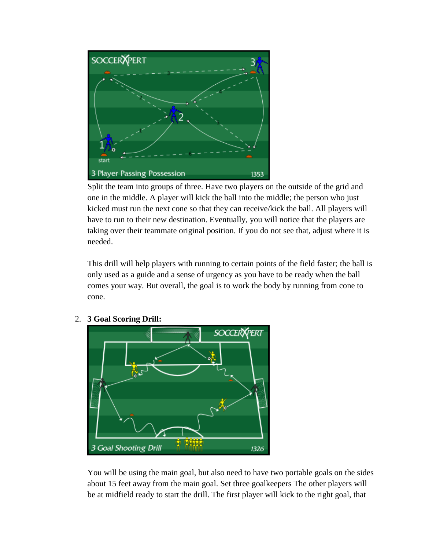

Split the team into groups of three. Have two players on the outside of the grid and one in the middle. A player will kick the ball into the middle; the person who just kicked must run the next cone so that they can receive/kick the ball. All players will have to run to their new destination. Eventually, you will notice that the players are taking over their teammate original position. If you do not see that, adjust where it is needed.

This drill will help players with running to certain points of the field faster; the ball is only used as a guide and a sense of urgency as you have to be ready when the ball comes your way. But overall, the goal is to work the body by running from cone to cone.



# 2. **3 Goal Scoring Drill:**

You will be using the main goal, but also need to have two portable goals on the sides about 15 feet away from the main goal. Set three goalkeepers The other players will be at midfield ready to start the drill. The first player will kick to the right goal, that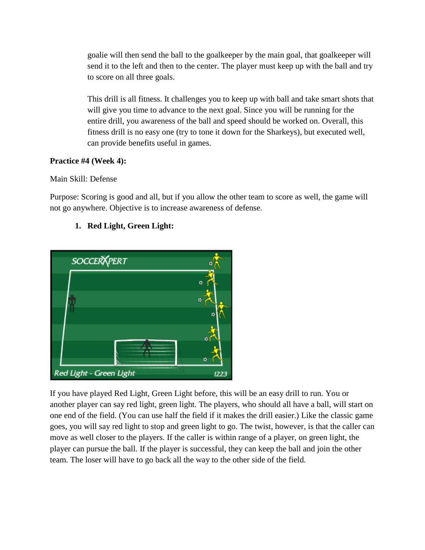goalie will then send the ball to the goalkeeper by the main goal, that goalkeeper will send it to the left and then to the center. The player must keep up with the ball and try to score on all three goals.

This drill is all fitness. It challenges you to keep up with ball and take smart shots that will give you time to advance to the next goal. Since you will be running for the entire drill, you awareness of the ball and speed should be worked on. Overall, this fitness drill is no easy one (try to tone it down for the Sharkeys), but executed well, can provide benefits useful in games.

# **Practice #4 (Week 4):**

Main Skill: Defense

Purpose: Scoring is good and all, but if you allow the other team to score as well, the game will not go anywhere. Objective is to increase awareness of defense.

# **1. Red Light, Green Light:**



If you have played Red Light, Green Light before, this will be an easy drill to run. You or another player can say red light, green light. The players, who should all have a ball, will start on one end of the field. (You can use half the field if it makes the drill easier.) Like the classic game goes, you will say red light to stop and green light to go. The twist, however, is that the caller can move as well closer to the players. If the caller is within range of a player, on green light, the player can pursue the ball. If the player is successful, they can keep the ball and join the other team. The loser will have to go back all the way to the other side of the field.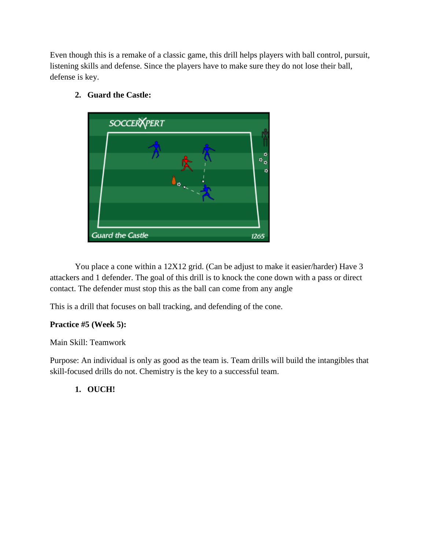Even though this is a remake of a classic game, this drill helps players with ball control, pursuit, listening skills and defense. Since the players have to make sure they do not lose their ball, defense is key.



**2. Guard the Castle:**

You place a cone within a 12X12 grid. (Can be adjust to make it easier/harder) Have 3 attackers and 1 defender. The goal of this drill is to knock the cone down with a pass or direct contact. The defender must stop this as the ball can come from any angle

This is a drill that focuses on ball tracking, and defending of the cone.

### **Practice #5 (Week 5):**

### Main Skill: Teamwork

Purpose: An individual is only as good as the team is. Team drills will build the intangibles that skill-focused drills do not. Chemistry is the key to a successful team.

# **1. OUCH!**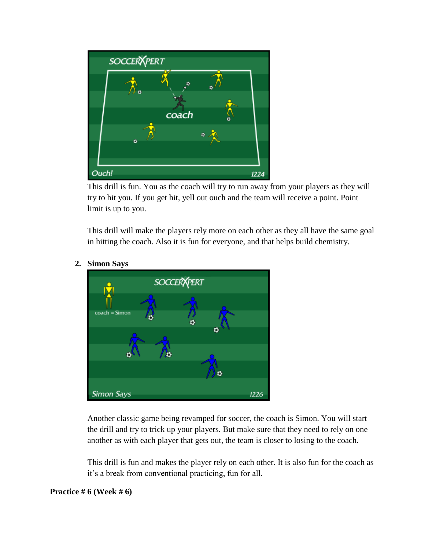

This drill is fun. You as the coach will try to run away from your players as they will try to hit you. If you get hit, yell out ouch and the team will receive a point. Point limit is up to you.

This drill will make the players rely more on each other as they all have the same goal in hitting the coach. Also it is fun for everyone, and that helps build chemistry.



# **2. Simon Says**

Another classic game being revamped for soccer, the coach is Simon. You will start the drill and try to trick up your players. But make sure that they need to rely on one another as with each player that gets out, the team is closer to losing to the coach.

This drill is fun and makes the player rely on each other. It is also fun for the coach as it's a break from conventional practicing, fun for all.

#### **Practice # 6 (Week # 6)**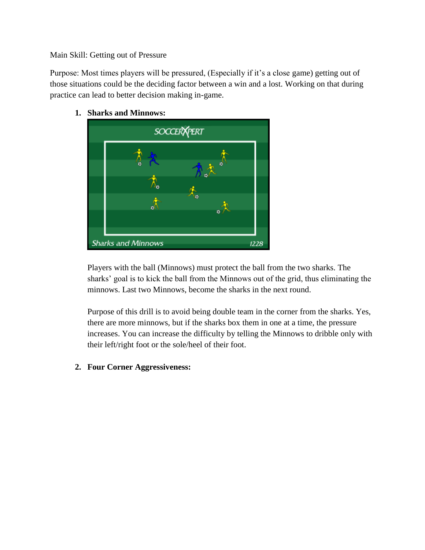#### Main Skill: Getting out of Pressure

Purpose: Most times players will be pressured, (Especially if it's a close game) getting out of those situations could be the deciding factor between a win and a lost. Working on that during practice can lead to better decision making in-game.



**1. Sharks and Minnows:**

Players with the ball (Minnows) must protect the ball from the two sharks. The sharks' goal is to kick the ball from the Minnows out of the grid, thus eliminating the minnows. Last two Minnows, become the sharks in the next round.

Purpose of this drill is to avoid being double team in the corner from the sharks. Yes, there are more minnows, but if the sharks box them in one at a time, the pressure increases. You can increase the difficulty by telling the Minnows to dribble only with their left/right foot or the sole/heel of their foot.

**2. Four Corner Aggressiveness:**